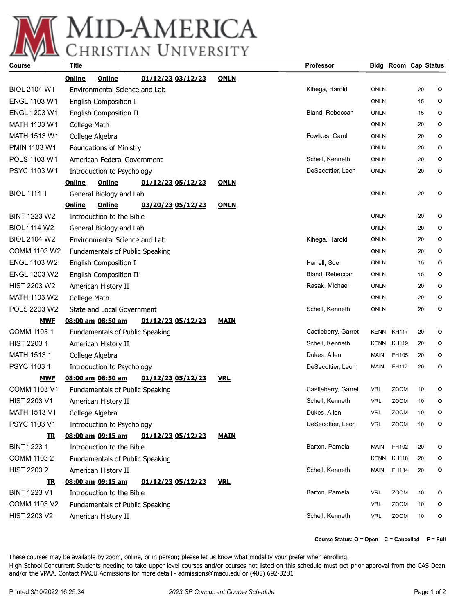

| Course              | Title                           |                                 |                   |             | <b>Professor</b>    |             | <b>Bldg Room Cap Status</b> |    |   |
|---------------------|---------------------------------|---------------------------------|-------------------|-------------|---------------------|-------------|-----------------------------|----|---|
|                     | Online                          | Online                          | 01/12/23 03/12/23 | <b>ONLN</b> |                     |             |                             |    |   |
| <b>BIOL 2104 W1</b> |                                 | Environmental Science and Lab   |                   |             | Kihega, Harold      | <b>ONLN</b> |                             | 20 | O |
| <b>ENGL 1103 W1</b> |                                 | English Composition I           |                   |             |                     | <b>ONLN</b> |                             | 15 | О |
| <b>ENGL 1203 W1</b> |                                 | <b>English Composition II</b>   |                   |             | Bland, Rebeccah     | <b>ONLN</b> |                             | 15 | O |
| MATH 1103 W1        | College Math                    |                                 |                   |             |                     | <b>ONLN</b> |                             | 20 | О |
| <b>MATH 1513 W1</b> |                                 | College Algebra                 |                   |             | Fowlkes, Carol      | <b>ONLN</b> |                             | 20 | O |
| <b>PMIN 1103 W1</b> |                                 | <b>Foundations of Ministry</b>  |                   |             |                     | <b>ONLN</b> |                             | 20 | О |
| POLS 1103 W1        | American Federal Government     |                                 |                   |             | Schell, Kenneth     | <b>ONLN</b> |                             | 20 | O |
| <b>PSYC 1103 W1</b> | Introduction to Psychology      |                                 |                   |             | DeSecottier, Leon   | <b>ONLN</b> |                             | 20 | o |
|                     | Online                          | <b>Online</b>                   | 01/12/23 05/12/23 | <b>ONLN</b> |                     |             |                             |    |   |
| <b>BIOL 1114 1</b>  |                                 | General Biology and Lab         |                   |             |                     | <b>ONLN</b> |                             | 20 | o |
|                     | Online                          | Online                          | 03/20/23 05/12/23 | <b>ONLN</b> |                     |             |                             |    |   |
| <b>BINT 1223 W2</b> |                                 | Introduction to the Bible       |                   |             |                     | <b>ONLN</b> |                             | 20 | O |
| <b>BIOL 1114 W2</b> |                                 | General Biology and Lab         |                   |             |                     | <b>ONLN</b> |                             | 20 | o |
| <b>BIOL 2104 W2</b> |                                 | Environmental Science and Lab   |                   |             | Kihega, Harold      | <b>ONLN</b> |                             | 20 | o |
| <b>COMM 1103 W2</b> |                                 | Fundamentals of Public Speaking |                   |             |                     | <b>ONLN</b> |                             | 20 | o |
| <b>ENGL 1103 W2</b> | English Composition I           |                                 |                   |             | Harrell, Sue        | <b>ONLN</b> |                             | 15 | O |
| <b>ENGL 1203 W2</b> |                                 | English Composition II          |                   |             | Bland, Rebeccah     | <b>ONLN</b> |                             | 15 | O |
| <b>HIST 2203 W2</b> | American History II             |                                 |                   |             | Rasak, Michael      | <b>ONLN</b> |                             | 20 | o |
| MATH 1103 W2        | College Math                    |                                 |                   |             |                     | <b>ONLN</b> |                             | 20 | O |
| POLS 2203 W2        |                                 | State and Local Government      |                   |             | Schell, Kenneth     | <b>ONLN</b> |                             | 20 | o |
| <b>MWF</b>          |                                 | 08:00 am 08:50 am               | 01/12/23 05/12/23 | <b>MAIN</b> |                     |             |                             |    |   |
| COMM 1103 1         | Fundamentals of Public Speaking |                                 |                   |             | Castleberry, Garret | <b>KENN</b> | KH117                       | 20 | O |
| <b>HIST 22031</b>   | American History II             |                                 |                   |             | Schell, Kenneth     | KENN        | KH119                       | 20 | O |
| <b>MATH 15131</b>   | College Algebra                 |                                 |                   |             | Dukes, Allen        | MAIN        | FH105                       | 20 | O |
| PSYC 1103 1         | Introduction to Psychology      |                                 |                   |             | DeSecottier, Leon   | MAIN        | FH117                       | 20 | O |
| <u>MWF</u>          |                                 | 08:00 am 08:50 am               | 01/12/23 05/12/23 | <b>VRL</b>  |                     |             |                             |    |   |
| <b>COMM 1103 V1</b> |                                 | Fundamentals of Public Speaking |                   |             | Castleberry, Garret | <b>VRL</b>  | <b>ZOOM</b>                 | 10 | O |
| <b>HIST 2203 V1</b> | American History II             |                                 |                   |             | Schell, Kenneth     | <b>VRL</b>  | <b>ZOOM</b>                 | 10 | O |
| <b>MATH 1513 V1</b> | College Algebra                 |                                 |                   |             | Dukes, Allen        | VRL         | ZOOM                        | 10 | O |
| PSYC 1103 V1        |                                 | Introduction to Psychology      |                   |             | DeSecottier, Leon   | <b>VRL</b>  | <b>ZOOM</b>                 | 10 | O |
| <u>TR</u>           |                                 | 08:00 am 09:15 am               | 01/12/23 05/12/23 | <b>MAIN</b> |                     |             |                             |    |   |
| <b>BINT 12231</b>   | Introduction to the Bible       |                                 |                   |             | Barton, Pamela      | MAIN        | FH102                       | 20 | O |
| COMM 1103 2         | Fundamentals of Public Speaking |                                 |                   |             |                     | <b>KENN</b> | <b>KH118</b>                | 20 | O |
| <b>HIST 22032</b>   |                                 | American History II             |                   |             | Schell, Kenneth     | MAIN        | FH134                       | 20 | O |
| <b>IR</b>           |                                 | 08:00 am 09:15 am               | 01/12/23 05/12/23 | <b>VRL</b>  |                     |             |                             |    |   |
| <b>BINT 1223 V1</b> | Introduction to the Bible       |                                 |                   |             | Barton, Pamela      | <b>VRL</b>  | ZOOM                        | 10 | O |
| <b>COMM 1103 V2</b> |                                 | Fundamentals of Public Speaking |                   |             |                     | <b>VRL</b>  | ZOOM                        | 10 | O |
| <b>HIST 2203 V2</b> |                                 | American History II             |                   |             | Schell, Kenneth     | <b>VRL</b>  | ZOOM                        | 10 | O |

**Course Status: O = Open C = Cancelled F = Full**

These courses may be available by zoom, online, or in person; please let us know what modality your prefer when enrolling. High School Concurrent Students needing to take upper level courses and/or courses not listed on this schedule must get prior approval from the CAS Dean and/or the VPAA. Contact MACU Admissions for more detail - admissions@macu.edu or (405) 692-3281